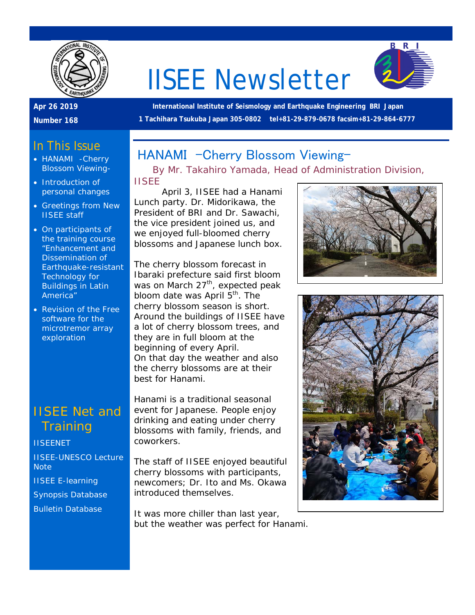

# IISEE Newsletter



### **Apr 26 2019**

**Number 168**

**International Institute of Seismology and Earthquake Engineering BRI Japan 1 Tachihara Tsukuba Japan 305-0802 tel+81-29-879-0678 facsim+81-29-864-6777**

### In This Issue

- HANAMI -Cherry Blossom Viewing-
- Introduction of personal changes
- Greetings from New IISEE staff
- On participants of the training course "Enhancement and Dissemination of Earthquake-resistant Technology for Buildings in Latin America"
- Revision of the Free software for the microtremor array exploration

## IISEE Net and **Training**

**[IISEENET](http://iisee.kenken.go.jp/net/)** [IISEE-UNESCO Lecture](http://iisee/lna/)  **[Note](http://iisee/lna/)** [IISEE E-learning](http://iisee/el/) [Synopsis Database](http://iisee/syndb/) [Bulletin Database](http://iisee/bltndb/)

## HANAMI - Cherry Blossom Viewing-

*By Mr. Takahiro Yamada, Head of Administration Division, IISEE*

April 3, IISEE had a Hanami Lunch party. Dr. Midorikawa, the President of BRI and Dr. Sawachi, the vice president joined us, and we enjoyed full-bloomed cherry blossoms and Japanese lunch box.

The cherry blossom forecast in Ibaraki prefecture said first bloom was on March 27<sup>th</sup>, expected peak bloom date was April  $5<sup>th</sup>$ . The cherry blossom season is short. Around the buildings of IISEE have a lot of cherry blossom trees, and they are in full bloom at the beginning of every April. On that day the weather and also the cherry blossoms are at their best for Hanami.

Hanami is a traditional seasonal event for Japanese. People enjoy drinking and eating under cherry blossoms with family, friends, and coworkers.

The staff of IISEE enjoyed beautiful cherry blossoms with participants, newcomers; Dr. Ito and Ms. Okawa introduced themselves.

It was more chiller than last year, but the weather was perfect for Hanami.



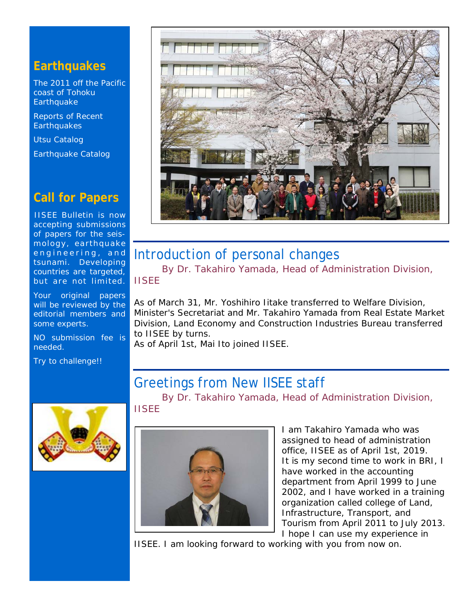## **Earthquakes**

[The 2011 off the Pacific](http://iisee/special2/20110311tohoku.htm)  [coast of Tohoku](http://iisee/special2/20110311tohoku.htm)  **[Earthquake](http://iisee/special2/20110311tohoku.htm)** 

[Reports of Recent](http://iisee/quakes.htm)  **[Earthquakes](http://iisee/quakes.htm)** 

[Utsu Catalog](http://iisee/utsu/index_eng.html)

[Earthquake Catalog](http://iisee/eqcat/Top_page_en.htm)

## **Call for Papers**

IISEE Bulletin is now accepting submissions of papers for the seismology, earthquake engineering, and tsunami. Developing countries are targeted, but are not limited.

Your original papers will be reviewed by the editorial members and some experts.

NO submission fee is needed.

Try to challenge!!



## Introduction of personal changes

*By Dr. Takahiro Yamada, Head of Administration Division, IISEE*

As of March 31, Mr. Yoshihiro Iitake transferred to Welfare Division, Minister's Secretariat and Mr. Takahiro Yamada from Real Estate Market Division, Land Economy and Construction Industries Bureau transferred to IISEE by turns.

As of April 1st, Mai Ito joined IISEE.

## Greetings from New IISEE staff

*By Dr. Takahiro Yamada, Head of Administration Division,* 

*IISEE*



I am Takahiro Yamada who was assigned to head of administration office, IISEE as of April 1st, 2019. It is my second time to work in BRI, I have worked in the accounting department from April 1999 to June 2002, and I have worked in a training organization called college of Land, Infrastructure, Transport, and Tourism from April 2011 to July 2013. I hope I can use my experience in

IISEE. I am looking forward to working with you from now on.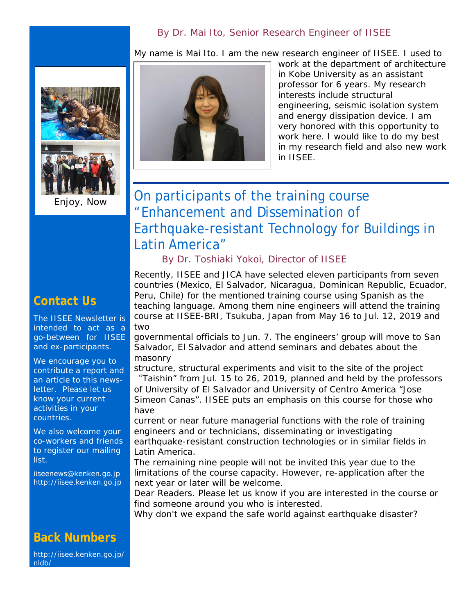#### *By Dr. Mai Ito, Senior Research Engineer of IISEE*

My name is Mai Ito. I am the new research engineer of IISEE. I used to



Enjoy, Now

## **Contact Us**

The IISEE Newsletter is intended to act as a go-between for IISEE and ex-participants.

We encourage you to contribute a report and an article to this newsletter. Please let us know your current activities in your countries.

We also welcome your co-workers and friends to register our mailing list.

iiseenews@kenken.go.jp [http://iisee.kenken.go.jp](http://iisee.kenken.go.jp/)

#### **Back Numbers**

[http://iisee.kenken.go.jp/](http://iisee.kenken.go.jp/nldb/) [nldb/](http://iisee.kenken.go.jp/nldb/)



work at the department of architecture in Kobe University as an assistant professor for 6 years. My research interests include structural engineering, seismic isolation system and energy dissipation device. I am very honored with this opportunity to work here. I would like to do my best in my research field and also new work in IISEE.

# On participants of the training course "Enhancement and Dissemination of Earthquake-resistant Technology for Buildings in Latin America"

#### *By Dr. Toshiaki Yokoi, Director of IISEE*

Recently, IISEE and JICA have selected eleven participants from seven countries (Mexico, El Salvador, Nicaragua, Dominican Republic, Ecuador, Peru, Chile) for the mentioned training course using Spanish as the teaching language. Among them nine engineers will attend the training course at IISEE-BRI, Tsukuba, Japan from May 16 to Jul. 12, 2019 and two

governmental officials to Jun. 7. The engineers' group will move to San Salvador, El Salvador and attend seminars and debates about the masonry

structure, structural experiments and visit to the site of the project "Taishin" from Jul. 15 to 26, 2019, planned and held by the professors of University of El Salvador and University of Centro America "Jose Simeon Canas". IISEE puts an emphasis on this course for those who have

current or near future managerial functions with the role of training engineers and or technicians, disseminating or investigating earthquake-resistant construction technologies or in similar fields in Latin America.

The remaining nine people will not be invited this year due to the limitations of the course capacity. However, re-application after the next year or later will be welcome.

Dear Readers. Please let us know if you are interested in the course or find someone around you who is interested.

Why don't we expand the safe world against earthquake disaster?